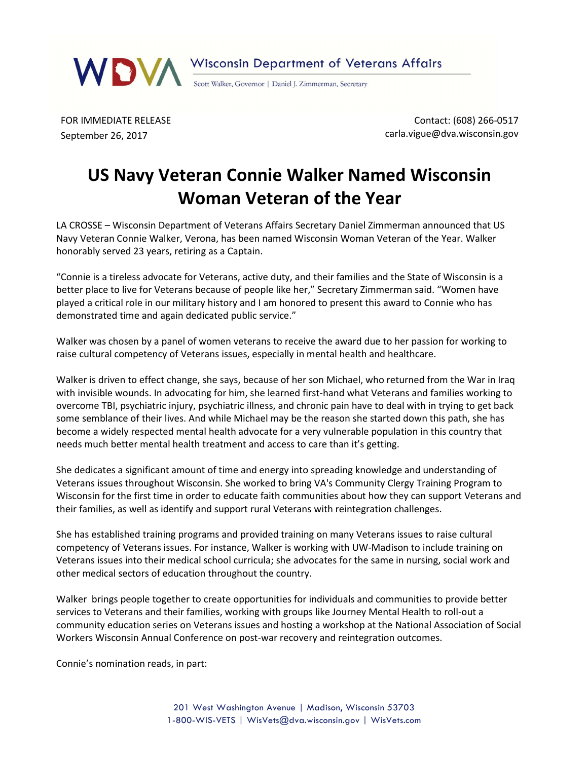

FOR IMMEDIATE RELEASE September 26, 2017

Contact: (608) 266-0517 carla.vigue@dva.wisconsin.gov

## US Navy Veteran Connie Walker Named Wisconsin Woman Veteran of the Year

LA CROSSE – Wisconsin Department of Veterans Affairs Secretary Daniel Zimmerman announced that US Navy Veteran Connie Walker, Verona, has been named Wisconsin Woman Veteran of the Year. Walker honorably served 23 years, retiring as a Captain.

"Connie is a tireless advocate for Veterans, active duty, and their families and the State of Wisconsin is a better place to live for Veterans because of people like her," Secretary Zimmerman said. "Women have played a critical role in our military history and I am honored to present this award to Connie who has demonstrated time and again dedicated public service."

Walker was chosen by a panel of women veterans to receive the award due to her passion for working to raise cultural competency of Veterans issues, especially in mental health and healthcare.

Walker is driven to effect change, she says, because of her son Michael, who returned from the War in Iraq with invisible wounds. In advocating for him, she learned first-hand what Veterans and families working to overcome TBI, psychiatric injury, psychiatric illness, and chronic pain have to deal with in trying to get back some semblance of their lives. And while Michael may be the reason she started down this path, she has become a widely respected mental health advocate for a very vulnerable population in this country that needs much better mental health treatment and access to care than it's getting.

She dedicates a significant amount of time and energy into spreading knowledge and understanding of Veterans issues throughout Wisconsin. She worked to bring VA's Community Clergy Training Program to Wisconsin for the first time in order to educate faith communities about how they can support Veterans and their families, as well as identify and support rural Veterans with reintegration challenges.

She has established training programs and provided training on many Veterans issues to raise cultural competency of Veterans issues. For instance, Walker is working with UW-Madison to include training on Veterans issues into their medical school curricula; she advocates for the same in nursing, social work and other medical sectors of education throughout the country.

Walker brings people together to create opportunities for individuals and communities to provide better services to Veterans and their families, working with groups like Journey Mental Health to roll-out a community education series on Veterans issues and hosting a workshop at the National Association of Social Workers Wisconsin Annual Conference on post-war recovery and reintegration outcomes.

Connie's nomination reads, in part: